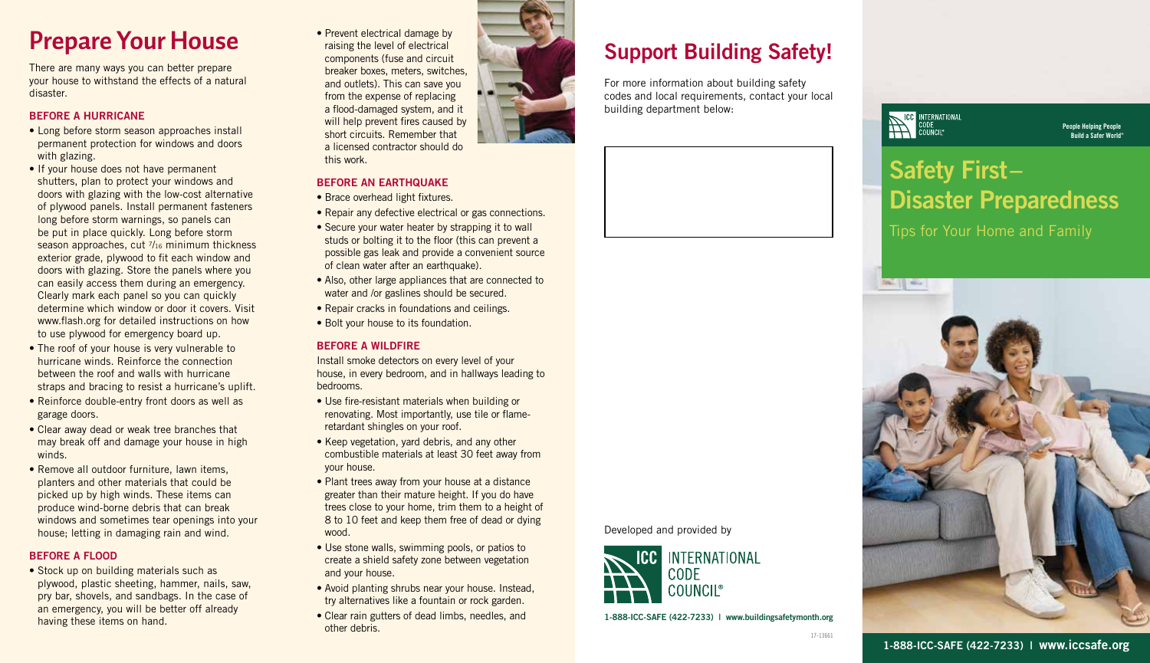## **Prepare Your House**

There are many ways you can better prepare your house to withstand the effects of a natural disaster.

### BEFORE A HURRICANE

- Long before storm season approaches install permanent protection for windows and doors with glazing.
- If your house does not have permanent shutters, plan to protect your windows and doors with glazing with the low-cost alternative of plywood panels. Install permanent fasteners long before storm warnings, so panels can be put in place quickly. Long before storm season approaches, cut  $\frac{7}{16}$  minimum thickness exterior grade, plywood to fit each window and doors with glazing. Store the panels where you can easily access them during an emergency. Clearly mark each panel so you can quickly determine which window or door it covers. Visit www.flash.org for detailed instructions on how to use plywood for emergency board up.
- The roof of your house is very vulnerable to hurricane winds. Reinforce the connection between the roof and walls with hurricane straps and bracing to resist a hurricane's uplift.
- Reinforce double-entry front doors as well as garage doors.
- Clear away dead or weak tree branches that may break off and damage your house in high winds.
- Remove all outdoor furniture, lawn items, planters and other materials that could be picked up by high winds. These items can produce wind-borne debris that can break windows and sometimes tear openings into your house; letting in damaging rain and wind.

### BEFORE A FLOOD

• Stock up on building materials such as plywood, plastic sheeting, hammer, nails, saw, pry bar, shovels, and sandbags. In the case of an emergency, you will be better off already having these items on hand.

• Prevent electrical damage by raising the level of electrical components (fuse and circuit breaker boxes, meters, switches, and outlets). This can save you from the expense of replacing a flood-damaged system, and it will help prevent fires caused by short circuits. Remember that a licensed contractor should do this work.

### BEFORE AN EARTHQUAKE

- Brace overhead light fixtures.
- Repair any defective electrical or gas connections.
- Secure your water heater by strapping it to wall studs or bolting it to the floor (this can prevent a possible gas leak and provide a convenient source of clean water after an earthquake).
- Also, other large appliances that are connected to water and /or gaslines should be secured.
- Repair cracks in foundations and ceilings.
- Bolt your house to its foundation.

### BEFORE A WILDFIRE

Install smoke detectors on every level of your house, in every bedroom, and in hallways leading to bedrooms.

- Use fire-resistant materials when building or renovating. Most importantly, use tile or flameretardant shingles on your roof.
- Keep vegetation, yard debris, and any other combustible materials at least 30 feet away from your house.
- Plant trees away from your house at a distance greater than their mature height. If you do have trees close to your home, trim them to a height of 8 to 10 feet and keep them free of dead or dying wood.
- Use stone walls, swimming pools, or patios to create a shield safety zone between vegetation and your house.
- Avoid planting shrubs near your house. Instead, try alternatives like a fountain or rock garden.
- Clear rain gutters of dead limbs, needles, and other debris.

### Support Building Safety!

For more information about building safety codes and local requirements, contact your local building department below:



# **ICC INTERNATIONAL** Safety First– Disaster Preparedness

People Helping People Build a Safer World®

Tips for Your Home and Family



1-888-ICC-SAFE (422-7233) | www.buildingsafetymonth.org

INTERNATIONAL

Developed and provided by

**CODE** COUNCII®